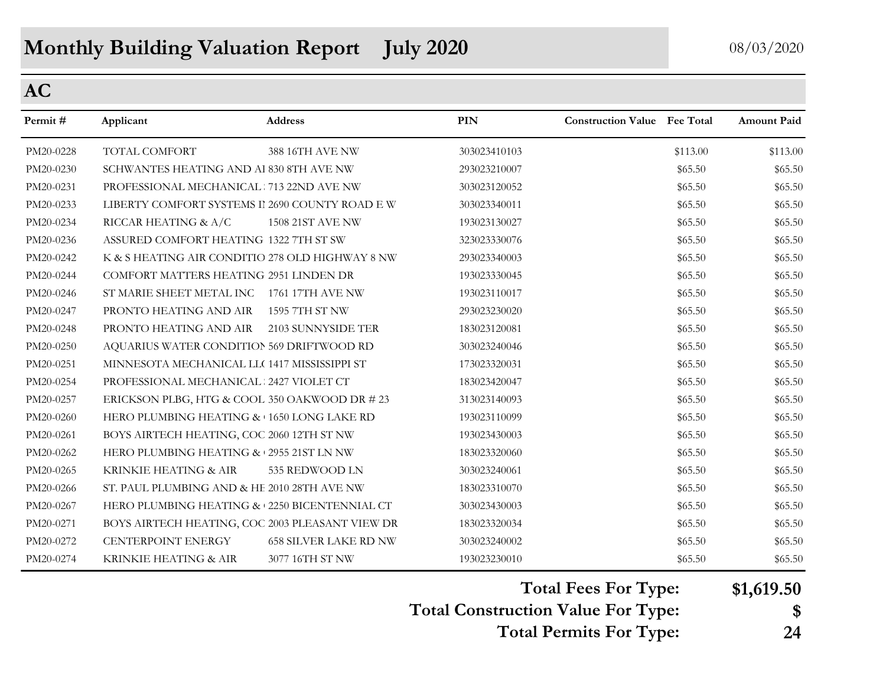# **Monthly Building Valuation Report July 2020** 08/03/2020

## **AC**

| Permit#   | Applicant                                       | <b>Address</b>               | <b>PIN</b>   | <b>Construction Value</b> Fee Total |          | <b>Amount Paid</b> |
|-----------|-------------------------------------------------|------------------------------|--------------|-------------------------------------|----------|--------------------|
| PM20-0228 | TOTAL COMFORT                                   | 388 16TH AVE NW              | 303023410103 |                                     | \$113.00 | \$113.00           |
| PM20-0230 | SCHWANTES HEATING AND Al 830 8TH AVE NW         |                              | 293023210007 |                                     | \$65.50  | \$65.50            |
| PM20-0231 | PROFESSIONAL MECHANICAL 713 22ND AVE NW         |                              | 303023120052 |                                     | \$65.50  | \$65.50            |
| PM20-0233 | LIBERTY COMFORT SYSTEMS II 2690 COUNTY ROAD E W |                              | 303023340011 |                                     | \$65.50  | \$65.50            |
| PM20-0234 | RICCAR HEATING & A/C                            | <b>1508 21ST AVE NW</b>      | 193023130027 |                                     | \$65.50  | \$65.50            |
| PM20-0236 | ASSURED COMFORT HEATING 1322 7TH ST SW          |                              | 323023330076 |                                     | \$65.50  | \$65.50            |
| PM20-0242 | K & S HEATING AIR CONDITIO 278 OLD HIGHWAY 8 NW |                              | 293023340003 |                                     | \$65.50  | \$65.50            |
| PM20-0244 | COMFORT MATTERS HEATING 2951 LINDEN DR          |                              | 193023330045 |                                     | \$65.50  | \$65.50            |
| PM20-0246 | ST MARIE SHEET METAL INC 1761 17TH AVE NW       |                              | 193023110017 |                                     | \$65.50  | \$65.50            |
| PM20-0247 | PRONTO HEATING AND AIR                          | 1595 7TH ST NW               | 293023230020 |                                     | \$65.50  | \$65.50            |
| PM20-0248 | PRONTO HEATING AND AIR                          | 2103 SUNNYSIDE TER           | 183023120081 |                                     | \$65.50  | \$65.50            |
| PM20-0250 | AQUARIUS WATER CONDITION 569 DRIFTWOOD RD       |                              | 303023240046 |                                     | \$65.50  | \$65.50            |
| PM20-0251 | MINNESOTA MECHANICAL LL( 1417 MISSISSIPPI ST    |                              | 173023320031 |                                     | \$65.50  | \$65.50            |
| PM20-0254 | PROFESSIONAL MECHANICAL 2427 VIOLET CT          |                              | 183023420047 |                                     | \$65.50  | \$65.50            |
| PM20-0257 | ERICKSON PLBG, HTG & COOL 350 OAKWOOD DR # 23   |                              | 313023140093 |                                     | \$65.50  | \$65.50            |
| PM20-0260 | HERO PLUMBING HEATING & 1650 LONG LAKE RD       |                              | 193023110099 |                                     | \$65.50  | \$65.50            |
| PM20-0261 | BOYS AIRTECH HEATING, COC 2060 12TH ST NW       |                              | 193023430003 |                                     | \$65.50  | \$65.50            |
| PM20-0262 | HERO PLUMBING HEATING & 2955 21ST LN NW         |                              | 183023320060 |                                     | \$65.50  | \$65.50            |
| PM20-0265 | KRINKIE HEATING & AIR                           | 535 REDWOOD LN               | 303023240061 |                                     | \$65.50  | \$65.50            |
| PM20-0266 | ST. PAUL PLUMBING AND & HE 2010 28TH AVE NW     |                              | 183023310070 |                                     | \$65.50  | \$65.50            |
| PM20-0267 | HERO PLUMBING HEATING & 2250 BICENTENNIAL CT    |                              | 303023430003 |                                     | \$65.50  | \$65.50            |
| PM20-0271 | BOYS AIRTECH HEATING, COC 2003 PLEASANT VIEW DR |                              | 183023320034 |                                     | \$65.50  | \$65.50            |
| PM20-0272 | CENTERPOINT ENERGY                              | <b>658 SILVER LAKE RD NW</b> | 303023240002 |                                     | \$65.50  | \$65.50            |
| PM20-0274 | KRINKIE HEATING & AIR                           | 3077 16TH ST NW              | 193023230010 |                                     | \$65.50  | \$65.50            |

**Total Fees For Type: \$1,619.50**

**Total Construction Value For Type: \$**

**Total Permits For Type: 24**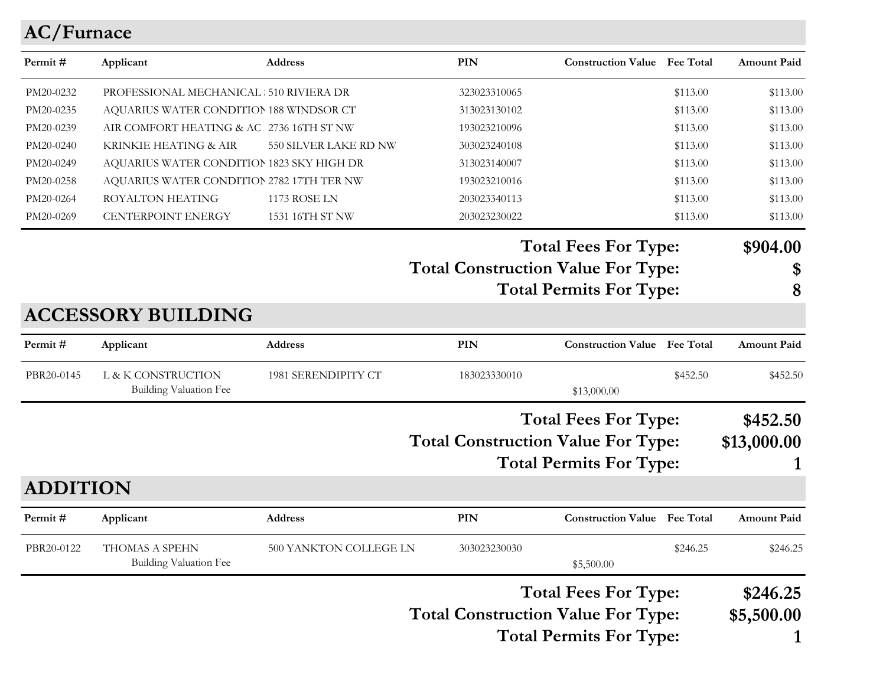# **AC/Furnace**

| Applicant                                       |                               | PIN                                                                                                                                                                                                                                           |                        |             | <b>Amount Paid</b>                                                                                                                                                                                                                                                                                                                                                                                                                                          |
|-------------------------------------------------|-------------------------------|-----------------------------------------------------------------------------------------------------------------------------------------------------------------------------------------------------------------------------------------------|------------------------|-------------|-------------------------------------------------------------------------------------------------------------------------------------------------------------------------------------------------------------------------------------------------------------------------------------------------------------------------------------------------------------------------------------------------------------------------------------------------------------|
|                                                 |                               | 323023310065                                                                                                                                                                                                                                  |                        | \$113.00    | \$113.00                                                                                                                                                                                                                                                                                                                                                                                                                                                    |
|                                                 |                               | 313023130102                                                                                                                                                                                                                                  |                        | \$113.00    | \$113.00                                                                                                                                                                                                                                                                                                                                                                                                                                                    |
|                                                 |                               | 193023210096                                                                                                                                                                                                                                  |                        | \$113.00    | \$113.00                                                                                                                                                                                                                                                                                                                                                                                                                                                    |
| KRINKIE HEATING & AIR                           | 550 SILVER LAKE RD NW         | 303023240108                                                                                                                                                                                                                                  |                        | \$113.00    | \$113.00                                                                                                                                                                                                                                                                                                                                                                                                                                                    |
|                                                 |                               | 313023140007                                                                                                                                                                                                                                  |                        | \$113.00    | \$113.00                                                                                                                                                                                                                                                                                                                                                                                                                                                    |
|                                                 |                               | 193023210016                                                                                                                                                                                                                                  |                        | \$113.00    | \$113.00                                                                                                                                                                                                                                                                                                                                                                                                                                                    |
| <b>ROYALTON HEATING</b>                         | <b>1173 ROSE LN</b>           | 203023340113                                                                                                                                                                                                                                  |                        | \$113.00    | \$113.00                                                                                                                                                                                                                                                                                                                                                                                                                                                    |
| CENTERPOINT ENERGY                              | 1531 16TH ST NW               | 203023230022                                                                                                                                                                                                                                  |                        | \$113.00    | \$113.00                                                                                                                                                                                                                                                                                                                                                                                                                                                    |
|                                                 |                               |                                                                                                                                                                                                                                               |                        |             | \$904.00                                                                                                                                                                                                                                                                                                                                                                                                                                                    |
|                                                 |                               |                                                                                                                                                                                                                                               |                        |             | \$                                                                                                                                                                                                                                                                                                                                                                                                                                                          |
|                                                 |                               |                                                                                                                                                                                                                                               |                        |             | 8                                                                                                                                                                                                                                                                                                                                                                                                                                                           |
| <b>ACCESSORY BUILDING</b>                       |                               |                                                                                                                                                                                                                                               |                        |             |                                                                                                                                                                                                                                                                                                                                                                                                                                                             |
| Applicant                                       | <b>Address</b>                | PIN                                                                                                                                                                                                                                           |                        |             | <b>Amount Paid</b>                                                                                                                                                                                                                                                                                                                                                                                                                                          |
| L & K CONSTRUCTION                              | 1981 SERENDIPITY CT           | 183023330010                                                                                                                                                                                                                                  |                        | \$452.50    | \$452.50                                                                                                                                                                                                                                                                                                                                                                                                                                                    |
|                                                 |                               |                                                                                                                                                                                                                                               |                        |             | \$452.50                                                                                                                                                                                                                                                                                                                                                                                                                                                    |
|                                                 |                               |                                                                                                                                                                                                                                               |                        |             | \$13,000.00                                                                                                                                                                                                                                                                                                                                                                                                                                                 |
|                                                 |                               |                                                                                                                                                                                                                                               |                        |             |                                                                                                                                                                                                                                                                                                                                                                                                                                                             |
| <b>ADDITION</b>                                 |                               |                                                                                                                                                                                                                                               |                        |             |                                                                                                                                                                                                                                                                                                                                                                                                                                                             |
| Applicant                                       |                               | <b>PIN</b>                                                                                                                                                                                                                                    |                        |             | <b>Amount Paid</b>                                                                                                                                                                                                                                                                                                                                                                                                                                          |
| THOMAS A SPEHN<br><b>Building Valuation Fee</b> |                               | 303023230030                                                                                                                                                                                                                                  | \$5,500.00             | \$246.25    | \$246.25                                                                                                                                                                                                                                                                                                                                                                                                                                                    |
|                                                 |                               |                                                                                                                                                                                                                                               |                        |             | \$246.25                                                                                                                                                                                                                                                                                                                                                                                                                                                    |
|                                                 |                               |                                                                                                                                                                                                                                               |                        |             | \$5,500.00                                                                                                                                                                                                                                                                                                                                                                                                                                                  |
|                                                 |                               |                                                                                                                                                                                                                                               |                        |             |                                                                                                                                                                                                                                                                                                                                                                                                                                                             |
|                                                 | <b>Building Valuation Fee</b> | Address<br>PROFESSIONAL MECHANICAL 510 RIVIERA DR<br>AQUARIUS WATER CONDITION 188 WINDSOR CT<br>AIR COMFORT HEATING & AC 2736 16TH ST NW<br>AQUARIUS WATER CONDITION 1823 SKY HIGH DR<br>AQUARIUS WATER CONDITION 2782 17TH TER NW<br>Address | 500 YANKTON COLLEGE LN | \$13,000.00 | <b>Construction Value</b> Fee Total<br><b>Total Fees For Type:</b><br><b>Total Construction Value For Type:</b><br><b>Total Permits For Type:</b><br><b>Construction Value Fee Total</b><br><b>Total Fees For Type:</b><br><b>Total Construction Value For Type:</b><br><b>Total Permits For Type:</b><br><b>Construction Value Fee Total</b><br><b>Total Fees For Type:</b><br><b>Total Construction Value For Type:</b><br><b>Total Permits For Type:</b> |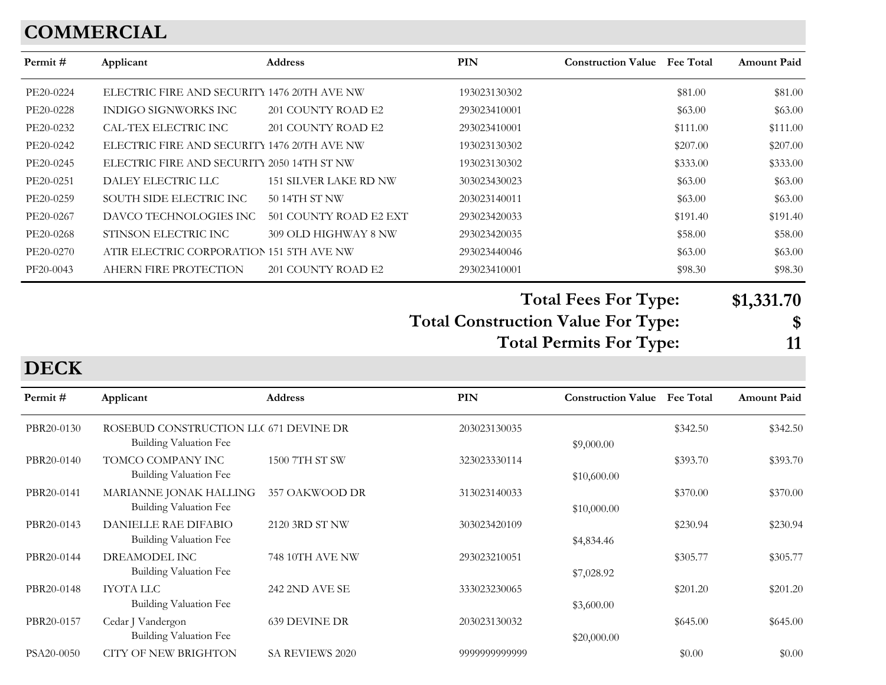# **COMMERCIAL**

| Permit #  | Applicant                                   | <b>Address</b>               | <b>PIN</b>   | <b>Construction Value</b> Fee Total | <b>Amount Paid</b> |
|-----------|---------------------------------------------|------------------------------|--------------|-------------------------------------|--------------------|
| PE20-0224 | ELECTRIC FIRE AND SECURITY 1476 20TH AVE NW |                              | 193023130302 | \$81.00                             | \$81.00            |
| PE20-0228 | INDIGO SIGNWORKS INC                        | 201 COUNTY ROAD E2           | 293023410001 | \$63.00                             | \$63.00            |
| PE20-0232 | CAL-TEX ELECTRIC INC                        | 201 COUNTY ROAD E2           | 293023410001 | \$111.00                            | \$111.00           |
| PE20-0242 | ELECTRIC FIRE AND SECURITY 1476 20TH AVE NW |                              | 193023130302 | \$207.00                            | \$207.00           |
| PE20-0245 | ELECTRIC FIRE AND SECURITY 2050 14TH ST NW  |                              | 193023130302 | \$333.00                            | \$333.00           |
| PE20-0251 | DALEY ELECTRIC LLC                          | <b>151 SILVER LAKE RD NW</b> | 303023430023 | \$63.00                             | \$63.00            |
| PE20-0259 | SOUTH SIDE ELECTRIC INC                     | 50 14TH ST NW                | 203023140011 | \$63.00                             | \$63.00            |
| PE20-0267 | DAVCO TECHNOLOGIES INC                      | 501 COUNTY ROAD E2 EXT       | 293023420033 | \$191.40                            | \$191.40           |
| PE20-0268 | STINSON ELECTRIC INC                        | 309 OLD HIGHWAY 8 NW         | 293023420035 | \$58.00                             | \$58.00            |
| PE20-0270 | ATIR ELECTRIC CORPORATION 151 5TH AVE NW    |                              | 293023440046 | \$63.00                             | \$63.00            |
| PF20-0043 | AHERN FIRE PROTECTION                       | 201 COUNTY ROAD E2           | 293023410001 | \$98.30                             | \$98.30            |

**Total Fees For Type: \$1,331.70**

**Total Construction Value For Type: \$**

**Total Permits For Type: 11**

#### **DECK**

| Permit#    | Applicant                                                        | <b>Address</b>         | <b>PIN</b>    | <b>Construction Value</b> | <b>Fee Total</b> | <b>Amount Paid</b> |
|------------|------------------------------------------------------------------|------------------------|---------------|---------------------------|------------------|--------------------|
| PBR20-0130 | ROSEBUD CONSTRUCTION LLC 671 DEVINE DR<br>Building Valuation Fee |                        | 203023130035  | \$9,000.00                | \$342.50         | \$342.50           |
| PBR20-0140 | TOMCO COMPANY INC<br>Building Valuation Fee                      | 1500 7TH ST SW         | 323023330114  | \$10,600.00               | \$393.70         | \$393.70           |
| PBR20-0141 | MARIANNE JONAK HALLING<br>Building Valuation Fee                 | 357 OAKWOOD DR         | 313023140033  | \$10,000.00               | \$370.00         | \$370.00           |
| PBR20-0143 | <b>DANIELLE RAE DIFABIO</b><br>Building Valuation Fee            | 2120 3RD ST NW         | 303023420109  | \$4,834.46                | \$230.94         | \$230.94           |
| PBR20-0144 | DREAMODEL INC<br>Building Valuation Fee                          | 748 10TH AVE NW        | 293023210051  | \$7,028.92                | \$305.77         | \$305.77           |
| PBR20-0148 | <b>IYOTA LLC</b><br>Building Valuation Fee                       | <b>242 2ND AVE SE</b>  | 333023230065  | \$3,600.00                | \$201.20         | \$201.20           |
| PBR20-0157 | Cedar J Vandergon<br>Building Valuation Fee                      | <b>639 DEVINE DR</b>   | 203023130032  | \$20,000.00               | \$645.00         | \$645.00           |
| PSA20-0050 | <b>CITY OF NEW BRIGHTON</b>                                      | <b>SA REVIEWS 2020</b> | 9999999999999 |                           | \$0.00           | \$0.00             |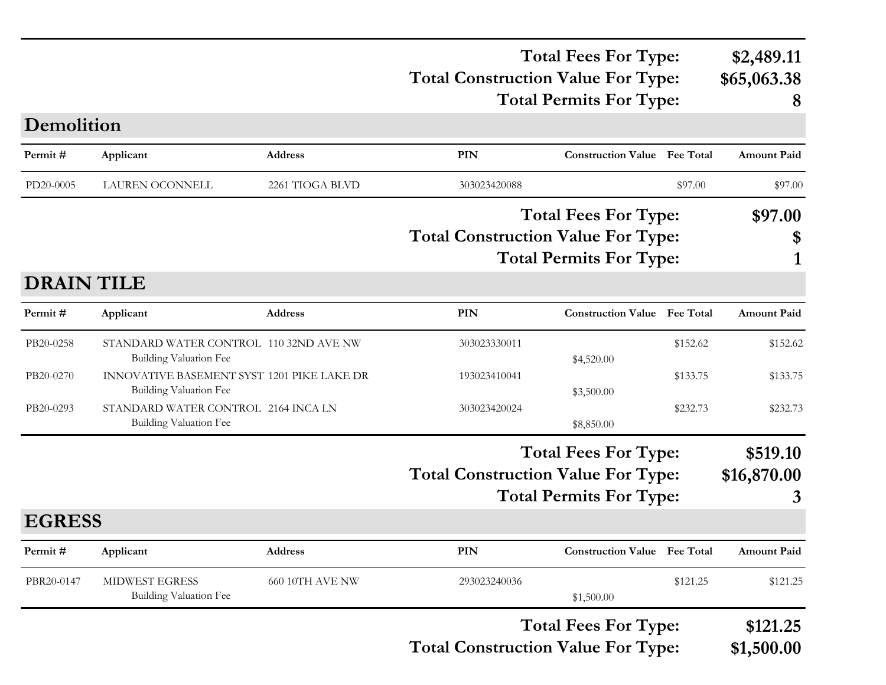#### **Total Construction Value For Type: \$65,063.38 Total Fees For Type: \$2,489.11 Total Permits For Type: 8**

| Demolition        |                                                                             |                        |                                           |                                     |          |                        |
|-------------------|-----------------------------------------------------------------------------|------------------------|-------------------------------------------|-------------------------------------|----------|------------------------|
| Permit#           | Applicant                                                                   | Address                | PIN                                       | <b>Construction Value</b> Fee Total |          | Amount Paid            |
| PD20-0005         | LAUREN OCONNELL                                                             | 2261 TIOGA BLVD        | 303023420088                              |                                     | \$97.00  | \$97.00                |
|                   |                                                                             |                        |                                           | <b>Total Fees For Type:</b>         |          | \$97.00                |
|                   |                                                                             |                        | <b>Total Construction Value For Type:</b> |                                     |          | \$                     |
|                   |                                                                             |                        |                                           | <b>Total Permits For Type:</b>      |          |                        |
| <b>DRAIN TILE</b> |                                                                             |                        |                                           |                                     |          |                        |
| Permit#           | Applicant                                                                   | Address                | <b>PIN</b>                                | <b>Construction Value Fee Total</b> |          | <b>Amount Paid</b>     |
| PB20-0258         | STANDARD WATER CONTROL 110 32ND AVE NW<br><b>Building Valuation Fee</b>     |                        | 303023330011                              | \$4,520.00                          | \$152.62 | \$152.62               |
| PB20-0270         | INNOVATIVE BASEMENT SYST 1201 PIKE LAKE DR<br><b>Building Valuation Fee</b> |                        | 193023410041                              | \$3,500.00                          | \$133.75 | \$133.75               |
| PB20-0293         | STANDARD WATER CONTROL 2164 INCA LN<br><b>Building Valuation Fee</b>        |                        | 303023420024                              | \$8,850.00                          | \$232.73 | \$232.73               |
|                   |                                                                             |                        |                                           | <b>Total Fees For Type:</b>         |          | \$519.10               |
|                   |                                                                             |                        | <b>Total Construction Value For Type:</b> |                                     |          | \$16,870.00            |
|                   |                                                                             |                        |                                           | <b>Total Permits For Type:</b>      |          | 3                      |
| <b>EGRESS</b>     |                                                                             |                        |                                           |                                     |          |                        |
| Permit#           | Applicant                                                                   | <b>Address</b>         | PIN                                       | <b>Construction Value Fee Total</b> |          | <b>Amount Paid</b>     |
| PBR20-0147        | MIDWEST EGRESS<br>Building Valuation Fee                                    | <b>660 10TH AVE NW</b> | 293023240036                              | \$1,500.00                          | \$121.25 | \$121.25               |
|                   |                                                                             |                        | <b>Total Construction Value For Type:</b> | <b>Total Fees For Type:</b>         |          | \$121.25<br>\$1,500.00 |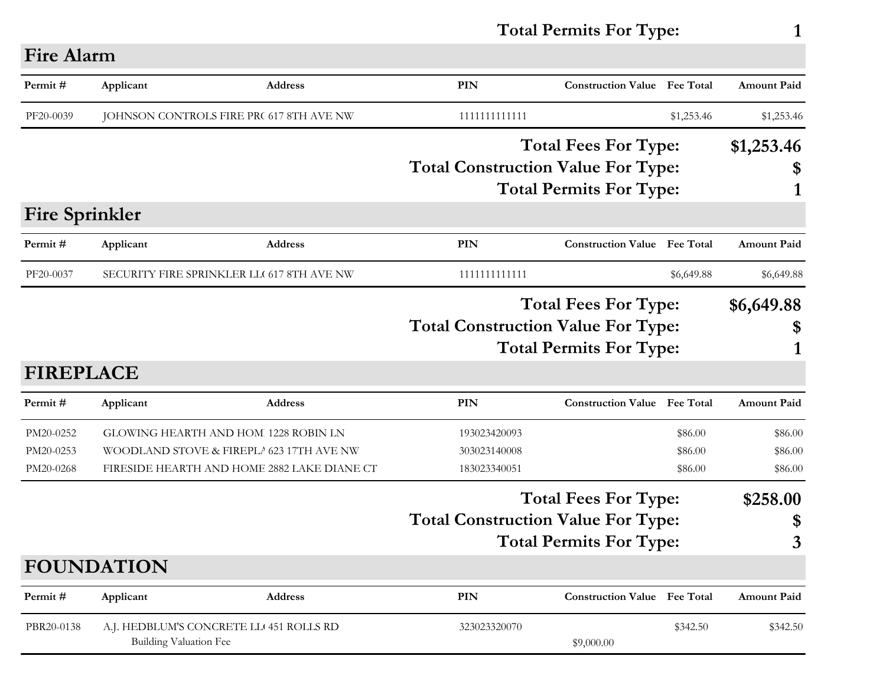**Total Permits For Type: 1**

# **Fire Alarm**

| Permit#                             | Applicant              | <b>Address</b>                                                                                                                  | <b>PIN</b>                                   | <b>Construction Value Fee Total</b>                           |                               | <b>Amount Paid</b>            |
|-------------------------------------|------------------------|---------------------------------------------------------------------------------------------------------------------------------|----------------------------------------------|---------------------------------------------------------------|-------------------------------|-------------------------------|
| PF20-0039                           |                        | JOHNSON CONTROLS FIRE PR( 617 8TH AVE NW                                                                                        | 1111111111111                                |                                                               | \$1,253.46                    | \$1,253.46                    |
|                                     |                        |                                                                                                                                 | <b>Total Construction Value For Type:</b>    | <b>Total Fees For Type:</b><br><b>Total Permits For Type:</b> |                               | \$1,253.46<br>1               |
| <b>Fire Sprinkler</b>               |                        |                                                                                                                                 |                                              |                                                               |                               |                               |
| Permit#                             | Applicant              | <b>Address</b>                                                                                                                  | PIN                                          | <b>Construction Value Fee Total</b>                           |                               | <b>Amount Paid</b>            |
| PF20-0037                           |                        | SECURITY FIRE SPRINKLER LLC 617 8TH AVE NW                                                                                      | 1111111111111                                |                                                               | \$6,649.88                    | \$6,649.88                    |
| <b>FIREPLACE</b>                    |                        |                                                                                                                                 | <b>Total Construction Value For Type:</b>    | <b>Total Fees For Type:</b><br><b>Total Permits For Type:</b> |                               | \$6,649.88<br>\$<br>1         |
| Permit#                             | Applicant              | <b>Address</b>                                                                                                                  | <b>PIN</b>                                   | <b>Construction Value</b> Fee Total                           |                               | <b>Amount Paid</b>            |
| PM20-0252<br>PM20-0253<br>PM20-0268 |                        | GLOWING HEARTH AND HOM 1228 ROBIN LN<br>WOODLAND STOVE & FIREPLA 623 17TH AVE NW<br>FIRESIDE HEARTH AND HOME 2882 LAKE DIANE CT | 193023420093<br>303023140008<br>183023340051 |                                                               | \$86.00<br>\$86.00<br>\$86.00 | \$86.00<br>\$86.00<br>\$86.00 |
|                                     |                        |                                                                                                                                 | <b>Total Construction Value For Type:</b>    | <b>Total Fees For Type:</b><br><b>Total Permits For Type:</b> |                               | \$258.00<br>\$<br>3           |
|                                     | <b>FOUNDATION</b>      |                                                                                                                                 |                                              |                                                               |                               |                               |
| Permit#                             | Applicant              | <b>Address</b>                                                                                                                  | PIN                                          | <b>Construction Value</b> Fee Total                           |                               | <b>Amount Paid</b>            |
| PBR20-0138                          | Building Valuation Fee | A.J. HEDBLUM'S CONCRETE LL 451 ROLLS RD                                                                                         | 323023320070                                 | \$9,000.00                                                    | \$342.50                      | \$342.50                      |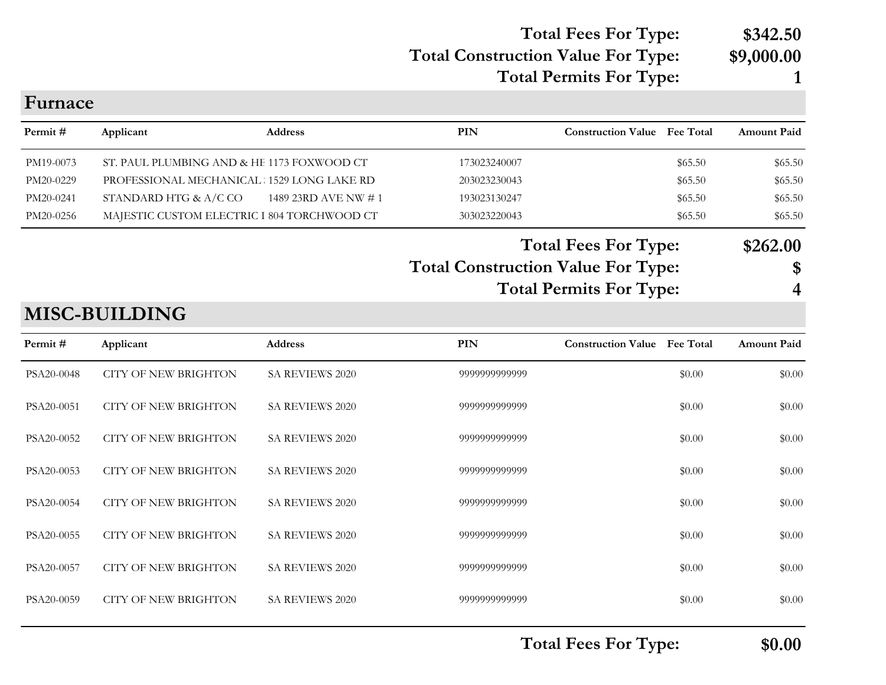#### **Total Construction Value For Type: \$9,000.00 Total Fees For Type: \$342.50**

# **Total Permits For Type: 1**

| Furnace    |                                             |                     |                                           |                                     |         |                    |
|------------|---------------------------------------------|---------------------|-------------------------------------------|-------------------------------------|---------|--------------------|
| Permit#    | Applicant                                   | <b>Address</b>      | PIN                                       | <b>Construction Value Fee Total</b> |         | <b>Amount Paid</b> |
| PM19-0073  | ST. PAUL PLUMBING AND & HE 1173 FOXWOOD CT  |                     | 173023240007                              |                                     | \$65.50 | \$65.50            |
| PM20-0229  | PROFESSIONAL MECHANICAL 1529 LONG LAKE RD   |                     | 203023230043                              |                                     | \$65.50 | \$65.50            |
| PM20-0241  | STANDARD HTG & A/C CO                       | 1489 23RD AVE NW #1 | 193023130247                              |                                     | \$65.50 | \$65.50            |
| PM20-0256  | MAJESTIC CUSTOM ELECTRIC I 804 TORCHWOOD CT |                     | 303023220043                              |                                     | \$65.50 | \$65.50            |
|            |                                             |                     | <b>Total Construction Value For Type:</b> | <b>Total Fees For Type:</b>         |         | \$262.00<br>\$     |
|            |                                             |                     |                                           | <b>Total Permits For Type:</b>      |         | 4                  |
|            | <b>MISC-BUILDING</b>                        |                     |                                           |                                     |         |                    |
| Permit#    | Applicant                                   | <b>Address</b>      | PIN                                       | <b>Construction Value Fee Total</b> |         | <b>Amount Paid</b> |
| PSA20-0048 | <b>CITY OF NEW BRIGHTON</b>                 | SA REVIEWS 2020     | 9999999999999                             |                                     | \$0.00  | \$0.00             |
| PSA20-0051 | <b>CITY OF NEW BRIGHTON</b>                 | SA REVIEWS 2020     | 9999999999999                             |                                     | \$0.00  | \$0.00             |
| PSA20-0052 | <b>CITY OF NEW BRIGHTON</b>                 | SA REVIEWS 2020     | 9999999999999                             |                                     | \$0.00  | \$0.00             |
| PSA20-0053 | <b>CITY OF NEW BRIGHTON</b>                 | SA REVIEWS 2020     | 9999999999999                             |                                     | \$0.00  | \$0.00             |
| PSA20-0054 | CITY OF NEW BRIGHTON                        | SA REVIEWS 2020     | 9999999999999                             |                                     | \$0.00  | \$0.00             |
| PSA20-0055 | <b>CITY OF NEW BRIGHTON</b>                 | SA REVIEWS 2020     | 9999999999999                             |                                     | \$0.00  | \$0.00             |
| PSA20-0057 | <b>CITY OF NEW BRIGHTON</b>                 | SA REVIEWS 2020     | 9999999999999                             |                                     | \$0.00  | \$0.00             |
| PSA20-0059 | <b>CITY OF NEW BRIGHTON</b>                 | SA REVIEWS 2020     | 9999999999999                             |                                     | \$0.00  | \$0.00             |
|            |                                             |                     |                                           |                                     |         |                    |

**Total Fees For Type: \$0.00**

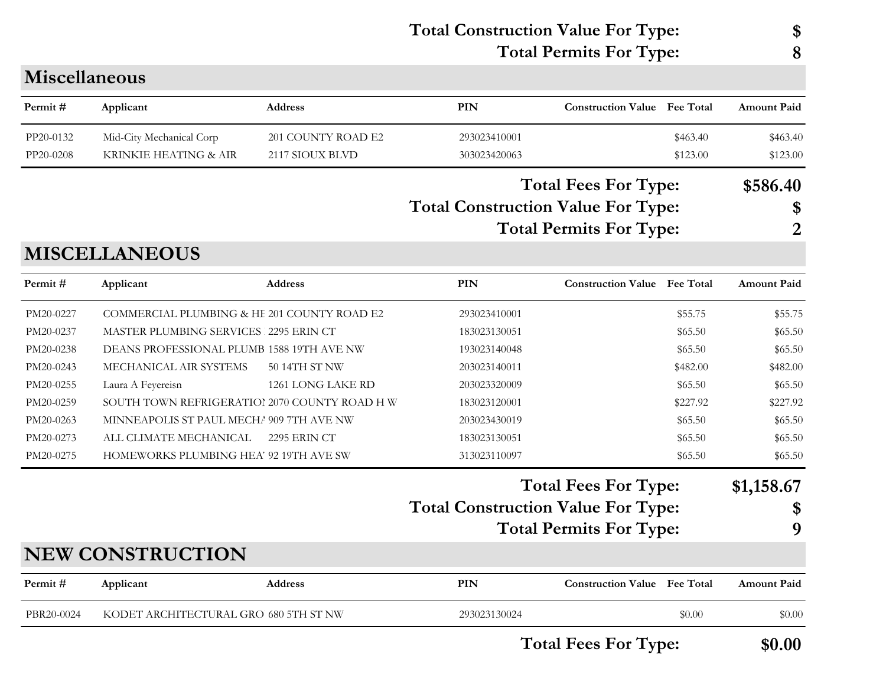#### **Total Construction Value For Type: \$ Total Permits For Type: 8**

|            |                                               |                     | <b>Total Fees For Type:</b><br><b>Total Construction Value For Type:</b><br><b>Total Permits For Type:</b> |                                                               | \$586.40<br>\$<br>2 |                       |
|------------|-----------------------------------------------|---------------------|------------------------------------------------------------------------------------------------------------|---------------------------------------------------------------|---------------------|-----------------------|
|            | <b>MISCELLANEOUS</b>                          |                     |                                                                                                            |                                                               |                     |                       |
| Permit#    | Applicant                                     | <b>Address</b>      | PIN                                                                                                        | <b>Construction Value</b> Fee Total                           |                     | <b>Amount Paid</b>    |
| PM20-0227  | COMMERCIAL PLUMBING & HE 201 COUNTY ROAD E2   |                     | 293023410001                                                                                               |                                                               | \$55.75             | \$55.75               |
| PM20-0237  | MASTER PLUMBING SERVICES 2295 ERIN CT         |                     | 183023130051                                                                                               |                                                               | \$65.50             | \$65.50               |
| PM20-0238  | DEANS PROFESSIONAL PLUMB 1588 19TH AVE NW     |                     | 193023140048                                                                                               |                                                               | \$65.50             | \$65.50               |
| PM20-0243  | MECHANICAL AIR SYSTEMS                        | 50 14TH ST NW       | 203023140011                                                                                               |                                                               | \$482.00            | \$482.00              |
| PM20-0255  | Laura A Feyereisn                             | 1261 LONG LAKE RD   | 203023320009                                                                                               |                                                               | \$65.50             | \$65.50               |
| PM20-0259  | SOUTH TOWN REFRIGERATIOI 2070 COUNTY ROAD H W |                     | 183023120001                                                                                               |                                                               | \$227.92            | \$227.92              |
| PM20-0263  | MINNEAPOLIS ST PAUL MECHA 909 7TH AVE NW      |                     | 203023430019                                                                                               |                                                               | \$65.50             | \$65.50               |
| PM20-0273  | ALL CLIMATE MECHANICAL                        | <b>2295 ERIN CT</b> | 183023130051                                                                                               |                                                               | \$65.50             | \$65.50               |
| PM20-0275  | HOMEWORKS PLUMBING HEA' 92 19TH AVE SW        |                     | 313023110097                                                                                               |                                                               | \$65.50             | \$65.50               |
|            |                                               |                     | <b>Total Construction Value For Type:</b>                                                                  | <b>Total Fees For Type:</b><br><b>Total Permits For Type:</b> |                     | \$1,158.67<br>\$<br>9 |
|            | <b>NEW CONSTRUCTION</b>                       |                     |                                                                                                            |                                                               |                     |                       |
| Permit#    | Applicant                                     | <b>Address</b>      | PIN                                                                                                        | <b>Construction Value</b> Fee Total                           |                     | <b>Amount Paid</b>    |
| PBR20-0024 | KODET ARCHITECTURAL GRO 680 5TH ST NW         |                     | 293023130024                                                                                               |                                                               | \$0.00              | \$0.00                |

**PIN Construction Value Permit # Applicant Address Fee Total Amount Paid**

PP20-0132 Mid-City Mechanical Corp 201 COUNTY ROAD E2 293023410001 \$463.40 \$463.40 \$463.40 PP20-0208 KRINKIE HEATING & AIR 2117 SIOUX BLVD 303023420063 \$123.00 \$123.00 \$123.00

**Miscellaneous**

**Total Fees For Type: \$0.00**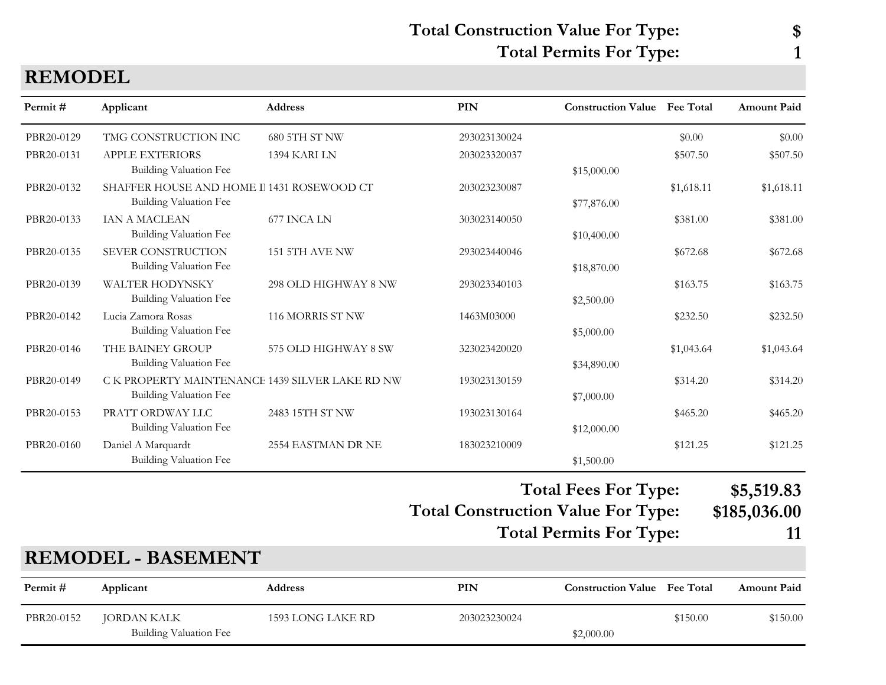## **Total Construction Value For Type: \$ Total Permits For Type: 1**

| <b>REMODEL</b> |
|----------------|
|----------------|

| Permit#    | Applicant                                                                  | <b>Address</b>       | <b>PIN</b>                                | <b>Construction Value</b> Fee Total |            | <b>Amount Paid</b> |
|------------|----------------------------------------------------------------------------|----------------------|-------------------------------------------|-------------------------------------|------------|--------------------|
| PBR20-0129 | TMG CONSTRUCTION INC                                                       | 680 5TH ST NW        | 293023130024                              |                                     | \$0.00     | \$0.00             |
| PBR20-0131 | <b>APPLE EXTERIORS</b><br><b>Building Valuation Fee</b>                    | 1394 KARI LN         | 203023320037                              | \$15,000.00                         | \$507.50   | \$507.50           |
| PBR20-0132 | SHAFFER HOUSE AND HOME I 1431 ROSEWOOD CT<br><b>Building Valuation Fee</b> |                      | 203023230087                              | \$77,876.00                         | \$1,618.11 | \$1,618.11         |
| PBR20-0133 | IAN A MACLEAN<br><b>Building Valuation Fee</b>                             | 677 INCA LN          | 303023140050                              | \$10,400.00                         | \$381.00   | \$381.00           |
| PBR20-0135 | SEVER CONSTRUCTION<br><b>Building Valuation Fee</b>                        | 151 5TH AVE NW       | 293023440046                              | \$18,870.00                         | \$672.68   | \$672.68           |
| PBR20-0139 | <b>WALTER HODYNSKY</b><br><b>Building Valuation Fee</b>                    | 298 OLD HIGHWAY 8 NW | 293023340103                              | \$2,500.00                          | \$163.75   | \$163.75           |
| PBR20-0142 | Lucia Zamora Rosas<br><b>Building Valuation Fee</b>                        | 116 MORRIS ST NW     | 1463M03000                                | \$5,000.00                          | \$232.50   | \$232.50           |
| PBR20-0146 | THE BAINEY GROUP<br><b>Building Valuation Fee</b>                          | 575 OLD HIGHWAY 8 SW | 323023420020                              | \$34,890.00                         | \$1,043.64 | \$1,043.64         |
| PBR20-0149 | C K PROPERTY MAINTENANCE 1439 SILVER LAKE RD NW<br>Building Valuation Fee  |                      | 193023130159                              | \$7,000.00                          | \$314.20   | \$314.20           |
| PBR20-0153 | PRATT ORDWAY LLC<br><b>Building Valuation Fee</b>                          | 2483 15TH ST NW      | 193023130164                              | \$12,000.00                         | \$465.20   | \$465.20           |
| PBR20-0160 | Daniel A Marquardt<br>Building Valuation Fee                               | 2554 EASTMAN DR NE   | 183023210009                              | \$1,500.00                          | \$121.25   | \$121.25           |
|            |                                                                            |                      |                                           | <b>Total Fees For Type:</b>         |            | \$5,519.83         |
|            |                                                                            |                      | <b>Total Construction Value For Type:</b> |                                     |            | \$185,036.00       |
|            |                                                                            |                      |                                           | <b>Total Permits For Type:</b>      |            | 11                 |
|            | <b>REMODEL - BASEMENT</b>                                                  |                      |                                           |                                     |            |                    |
| Permit#    | Applicant                                                                  | <b>Address</b>       | <b>PIN</b>                                | <b>Construction Value</b> Fee Total |            | <b>Amount Paid</b> |
| PBR20-0152 | <b>JORDAN KALK</b><br><b>Building Valuation Fee</b>                        | 1593 LONG LAKE RD    | 203023230024                              | \$2,000.00                          | \$150.00   | \$150.00           |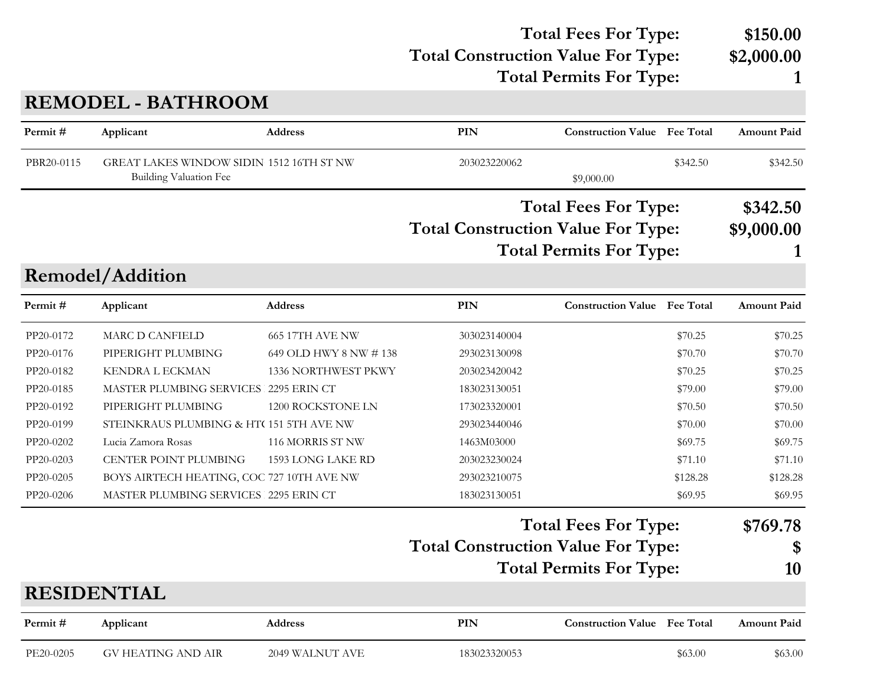#### **Total Construction Value For Type: \$2,000.00 Total Fees For Type: \$150.00**

**Total Permits For Type: 1**

# **REMODEL - BATHROOM**

| Permit#    | Applicant                                                          | <b>Address</b>         | <b>PIN</b>                                | <b>Construction Value</b> Fee Total |                  | <b>Amount Paid</b> |
|------------|--------------------------------------------------------------------|------------------------|-------------------------------------------|-------------------------------------|------------------|--------------------|
| PBR20-0115 | GREAT LAKES WINDOW SIDIN 1512 16TH ST NW<br>Building Valuation Fee |                        | 203023220062                              | \$9,000.00                          | \$342.50         | \$342.50           |
|            |                                                                    |                        |                                           | <b>Total Fees For Type:</b>         |                  | \$342.50           |
|            |                                                                    |                        | <b>Total Construction Value For Type:</b> |                                     |                  | \$9,000.00         |
|            |                                                                    |                        |                                           | <b>Total Permits For Type:</b>      |                  |                    |
|            | Remodel/Addition                                                   |                        |                                           |                                     |                  |                    |
| Permit#    | Applicant                                                          | Address                | <b>PIN</b>                                | <b>Construction Value</b>           | <b>Fee Total</b> | <b>Amount Paid</b> |
| PP20-0172  | <b>MARC D CANFIELD</b>                                             | <b>665 17TH AVE NW</b> | 303023140004                              |                                     | \$70.25          | \$70.25            |
| PP20-0176  | PIPERIGHT PLUMBING                                                 | 649 OLD HWY 8 NW # 138 | 293023130098                              |                                     | \$70.70          | \$70.70            |
| PP20-0182  | <b>KENDRA L ECKMAN</b>                                             | 1336 NORTHWEST PKWY    | 203023420042                              |                                     | \$70.25          | \$70.25            |
| PP20-0185  | MASTER PLUMBING SERVICES 2295 ERIN CT                              |                        | 183023130051                              |                                     | \$79.00          | \$79.00            |
| PP20-0192  | PIPERIGHT PLUMBING                                                 | 1200 ROCKSTONE LN      | 173023320001                              |                                     | \$70.50          | \$70.50            |
| PP20-0199  | STEINKRAUS PLUMBING & HT(151 5TH AVE NW                            |                        | 293023440046                              |                                     | \$70.00          | \$70.00            |
| PP20-0202  | Lucia Zamora Rosas                                                 | 116 MORRIS ST NW       | 1463M03000                                |                                     | \$69.75          | \$69.75            |
| PP20-0203  | CENTER POINT PLUMBING                                              | 1593 LONG LAKE RD      | 203023230024                              |                                     | \$71.10          | \$71.10            |
| PP20-0205  | BOYS AIRTECH HEATING, COC 727 10TH AVE NW                          |                        | 293023210075                              |                                     | \$128.28         | \$128.28           |
| PP20-0206  | MASTER PLUMBING SERVICES 2295 ERIN CT                              |                        | 183023130051                              |                                     | \$69.95          | \$69.95            |
|            |                                                                    |                        |                                           | <b>Total Fees For Type:</b>         |                  | \$769.78           |
|            |                                                                    |                        | <b>Total Construction Value For Type:</b> |                                     |                  | \$                 |
|            |                                                                    |                        |                                           | <b>Total Permits For Type:</b>      |                  | 10                 |
|            | <b>RESIDENTIAL</b>                                                 |                        |                                           |                                     |                  |                    |
| Permit#    | Applicant                                                          | <b>Address</b>         | <b>PIN</b>                                | <b>Construction Value Fee Total</b> |                  | <b>Amount Paid</b> |
| PE20-0205  | <b>GV HEATING AND AIR</b>                                          | 2049 WALNUT AVE        | 183023320053                              |                                     | \$63.00          | \$63.00            |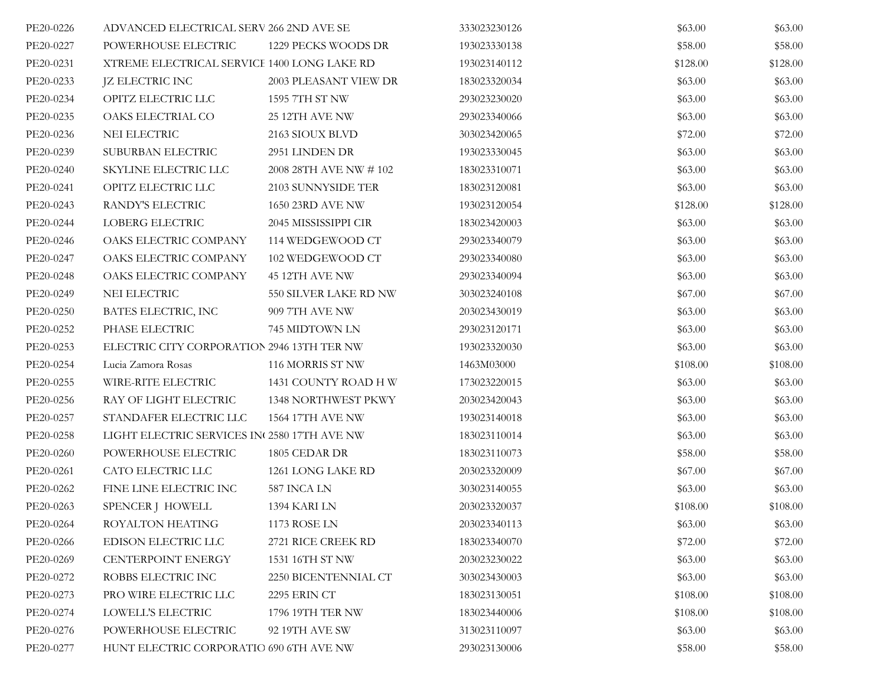| PE20-0226 | ADVANCED ELECTRICAL SERV 266 2ND AVE SE     |                            | 333023230126 | \$63.00  | \$63.00  |
|-----------|---------------------------------------------|----------------------------|--------------|----------|----------|
| PE20-0227 | POWERHOUSE ELECTRIC                         | 1229 PECKS WOODS DR        | 193023330138 | \$58.00  | \$58.00  |
| PE20-0231 | XTREME ELECTRICAL SERVICE 1400 LONG LAKE RD |                            | 193023140112 | \$128.00 | \$128.00 |
| PE20-0233 | <b>JZ ELECTRIC INC</b>                      | 2003 PLEASANT VIEW DR      | 183023320034 | \$63.00  | \$63.00  |
| PE20-0234 | OPITZ ELECTRIC LLC                          | 1595 7TH ST NW             | 293023230020 | \$63.00  | \$63.00  |
| PE20-0235 | OAKS ELECTRIAL CO                           | 25 12TH AVE NW             | 293023340066 | \$63.00  | \$63.00  |
| PE20-0236 | NEI ELECTRIC                                | 2163 SIOUX BLVD            | 303023420065 | \$72.00  | \$72.00  |
| PE20-0239 | SUBURBAN ELECTRIC                           | 2951 LINDEN DR             | 193023330045 | \$63.00  | \$63.00  |
| PE20-0240 | SKYLINE ELECTRIC LLC                        | 2008 28TH AVE NW # 102     | 183023310071 | \$63.00  | \$63.00  |
| PE20-0241 | OPITZ ELECTRIC LLC                          | 2103 SUNNYSIDE TER         | 183023120081 | \$63.00  | \$63.00  |
| PE20-0243 | RANDY'S ELECTRIC                            | 1650 23RD AVE NW           | 193023120054 | \$128.00 | \$128.00 |
| PE20-0244 | LOBERG ELECTRIC                             | 2045 MISSISSIPPI CIR       | 183023420003 | \$63.00  | \$63.00  |
| PE20-0246 | OAKS ELECTRIC COMPANY                       | 114 WEDGEWOOD CT           | 293023340079 | \$63.00  | \$63.00  |
| PE20-0247 | OAKS ELECTRIC COMPANY                       | 102 WEDGEWOOD CT           | 293023340080 | \$63.00  | \$63.00  |
| PE20-0248 | OAKS ELECTRIC COMPANY                       | 45 12TH AVE NW             | 293023340094 | \$63.00  | \$63.00  |
| PE20-0249 | NEI ELECTRIC                                | 550 SILVER LAKE RD NW      | 303023240108 | \$67.00  | \$67.00  |
| PE20-0250 | BATES ELECTRIC, INC                         | 909 7TH AVE NW             | 203023430019 | \$63.00  | \$63.00  |
| PE20-0252 | PHASE ELECTRIC                              | 745 MIDTOWN LN             | 293023120171 | \$63.00  | \$63.00  |
| PE20-0253 | ELECTRIC CITY CORPORATION 2946 13TH TER NW  |                            | 193023320030 | \$63.00  | \$63.00  |
| PE20-0254 | Lucia Zamora Rosas                          | 116 MORRIS ST NW           | 1463M03000   | \$108.00 | \$108.00 |
| PE20-0255 | WIRE-RITE ELECTRIC                          | 1431 COUNTY ROAD H W       | 173023220015 | \$63.00  | \$63.00  |
| PE20-0256 | RAY OF LIGHT ELECTRIC                       | <b>1348 NORTHWEST PKWY</b> | 203023420043 | \$63.00  | \$63.00  |
| PE20-0257 | STANDAFER ELECTRIC LLC                      | 1564 17TH AVE NW           | 193023140018 | \$63.00  | \$63.00  |
| PE20-0258 | LIGHT ELECTRIC SERVICES IN 2580 17TH AVE NW |                            | 183023110014 | \$63.00  | \$63.00  |
| PE20-0260 | POWERHOUSE ELECTRIC                         | 1805 CEDAR DR              | 183023110073 | \$58.00  | \$58.00  |
| PE20-0261 | CATO ELECTRIC LLC                           | 1261 LONG LAKE RD          | 203023320009 | \$67.00  | \$67.00  |
| PE20-0262 | FINE LINE ELECTRIC INC                      | 587 INCA LN                | 303023140055 | \$63.00  | \$63.00  |
| PE20-0263 | SPENCER J HOWELL                            | 1394 KARI LN               | 203023320037 | \$108.00 | \$108.00 |
| PE20-0264 | ROYALTON HEATING                            | 1173 ROSE LN               | 203023340113 | \$63.00  | \$63.00  |
| PE20-0266 | EDISON ELECTRIC LLC                         | 2721 RICE CREEK RD         | 183023340070 | \$72.00  | \$72.00  |
| PE20-0269 | CENTERPOINT ENERGY                          | 1531 16TH ST NW            | 203023230022 | \$63.00  | \$63.00  |
| PE20-0272 | ROBBS ELECTRIC INC                          | 2250 BICENTENNIAL CT       | 303023430003 | \$63.00  | \$63.00  |
| PE20-0273 | PRO WIRE ELECTRIC LLC                       | 2295 ERIN CT               | 183023130051 | \$108.00 | \$108.00 |
| PE20-0274 | LOWELL'S ELECTRIC                           | 1796 19TH TER NW           | 183023440006 | \$108.00 | \$108.00 |
| PE20-0276 | POWERHOUSE ELECTRIC                         | 92 19TH AVE SW             | 313023110097 | \$63.00  | \$63.00  |
| PE20-0277 | HUNT ELECTRIC CORPORATIO 690 6TH AVE NW     |                            | 293023130006 | \$58.00  | \$58.00  |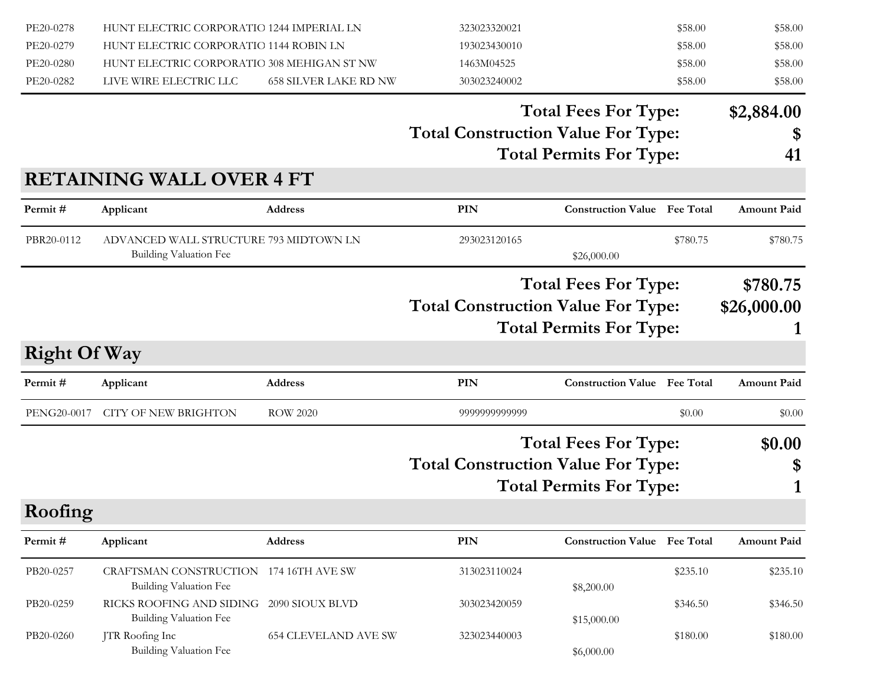| PE20-0278           | HUNT ELECTRIC CORPORATIO 1244 IMPERIAL LN                 |                              | 323023320021                              |                                     | \$58.00  | \$58.00            |
|---------------------|-----------------------------------------------------------|------------------------------|-------------------------------------------|-------------------------------------|----------|--------------------|
| PE20-0279           | HUNT ELECTRIC CORPORATIO 1144 ROBIN LN                    |                              | 193023430010                              |                                     | \$58.00  | \$58.00            |
| PE20-0280           | HUNT ELECTRIC CORPORATIO 308 MEHIGAN ST NW                |                              | 1463M04525                                |                                     | \$58.00  | \$58.00            |
| PE20-0282           | LIVE WIRE ELECTRIC LLC                                    | <b>658 SILVER LAKE RD NW</b> | 303023240002                              |                                     | \$58.00  | \$58.00            |
|                     |                                                           |                              |                                           | <b>Total Fees For Type:</b>         |          | \$2,884.00         |
|                     |                                                           |                              | <b>Total Construction Value For Type:</b> |                                     |          | \$                 |
|                     |                                                           |                              |                                           | <b>Total Permits For Type:</b>      |          | 41                 |
|                     | <b>RETAINING WALL OVER 4 FT</b>                           |                              |                                           |                                     |          |                    |
| Permit#             | Applicant                                                 | Address                      | <b>PIN</b>                                | <b>Construction Value</b> Fee Total |          | <b>Amount Paid</b> |
| PBR20-0112          | ADVANCED WALL STRUCTURE 793 MIDTOWN LN                    |                              | 293023120165                              |                                     | \$780.75 | \$780.75           |
|                     | Building Valuation Fee                                    |                              |                                           | \$26,000.00                         |          |                    |
|                     |                                                           |                              |                                           | <b>Total Fees For Type:</b>         |          | \$780.75           |
|                     |                                                           |                              | <b>Total Construction Value For Type:</b> |                                     |          | \$26,000.00        |
|                     |                                                           |                              |                                           | <b>Total Permits For Type:</b>      |          |                    |
| <b>Right Of Way</b> |                                                           |                              |                                           |                                     |          |                    |
|                     |                                                           |                              |                                           |                                     |          |                    |
| Permit#             | Applicant                                                 | Address                      | <b>PIN</b>                                | <b>Construction Value</b> Fee Total |          | <b>Amount Paid</b> |
| PENG20-0017         | <b>CITY OF NEW BRIGHTON</b>                               | <b>ROW 2020</b>              | 9999999999999                             |                                     | \$0.00   | \$0.00             |
|                     |                                                           |                              |                                           | <b>Total Fees For Type:</b>         |          | \$0.00             |
|                     |                                                           |                              | <b>Total Construction Value For Type:</b> |                                     |          | \$                 |
|                     |                                                           |                              |                                           | <b>Total Permits For Type:</b>      |          |                    |
| Roofing             |                                                           |                              |                                           |                                     |          |                    |
| Permit#             | Applicant                                                 | Address                      | PIN                                       | <b>Construction Value Fee Total</b> |          | Amount Paid        |
|                     |                                                           |                              |                                           |                                     |          |                    |
| PB20-0257           | CRAFTSMAN CONSTRUCTION 174 16TH AVE SW                    |                              | 313023110024                              |                                     | \$235.10 | \$235.10           |
| PB20-0259           | <b>Building Valuation Fee</b><br>RICKS ROOFING AND SIDING | 2090 SIOUX BLVD              |                                           | \$8,200.00                          |          |                    |
|                     | Building Valuation Fee                                    |                              | 303023420059                              | \$15,000.00                         | \$346.50 | \$346.50           |
| PB20-0260           | JTR Roofing Inc                                           |                              |                                           |                                     |          |                    |
|                     |                                                           | <b>654 CLEVELAND AVE SW</b>  | 323023440003                              |                                     | \$180.00 | \$180.00           |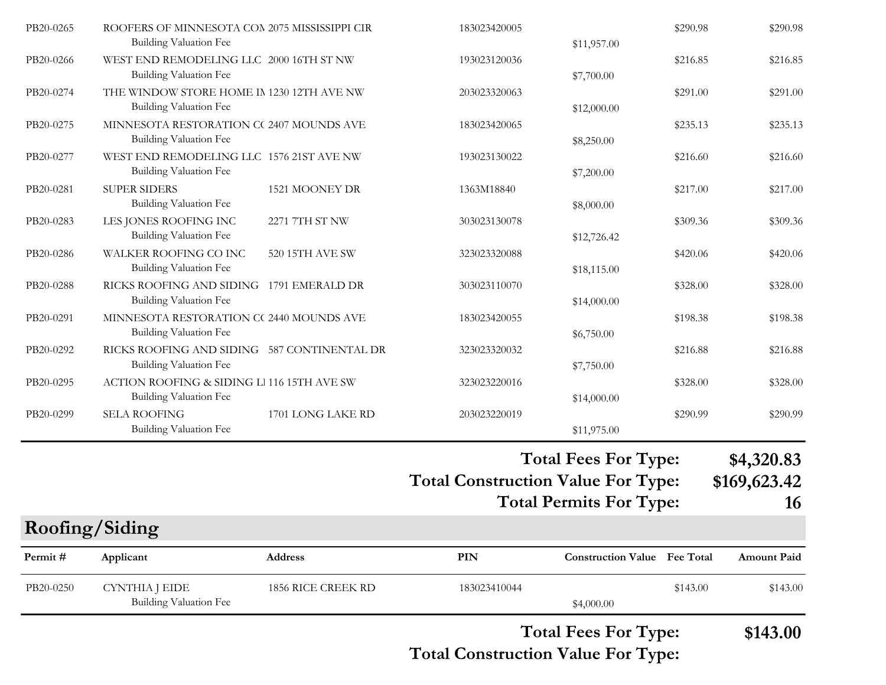| PB20-0265 | ROOFERS OF MINNESOTA CON 2075 MISSISSIPPI CIR<br><b>Building Valuation Fee</b> |                   | 183023420005 | \$11,957.00 | \$290.98 | \$290.98 |
|-----------|--------------------------------------------------------------------------------|-------------------|--------------|-------------|----------|----------|
| PB20-0266 | WEST END REMODELING LLC 2000 16TH ST NW<br><b>Building Valuation Fee</b>       |                   | 193023120036 | \$7,700.00  | \$216.85 | \$216.85 |
| PB20-0274 | THE WINDOW STORE HOME IN 1230 12TH AVE NW<br><b>Building Valuation Fee</b>     |                   | 203023320063 | \$12,000.00 | \$291.00 | \$291.00 |
| PB20-0275 | MINNESOTA RESTORATION CC 2407 MOUNDS AVE<br><b>Building Valuation Fee</b>      |                   | 183023420065 | \$8,250.00  | \$235.13 | \$235.13 |
| PB20-0277 | WEST END REMODELING LLC 1576 21ST AVE NW<br><b>Building Valuation Fee</b>      |                   | 193023130022 | \$7,200.00  | \$216.60 | \$216.60 |
| PB20-0281 | <b>SUPER SIDERS</b><br><b>Building Valuation Fee</b>                           | 1521 MOONEY DR    | 1363M18840   | \$8,000.00  | \$217.00 | \$217.00 |
| PB20-0283 | LES JONES ROOFING INC<br><b>Building Valuation Fee</b>                         | 2271 7TH ST NW    | 303023130078 | \$12,726.42 | \$309.36 | \$309.36 |
| PB20-0286 | WALKER ROOFING CO INC<br><b>Building Valuation Fee</b>                         | 520 15TH AVE SW   | 323023320088 | \$18,115.00 | \$420.06 | \$420.06 |
| PB20-0288 | RICKS ROOFING AND SIDING 1791 EMERALD DR<br>Building Valuation Fee             |                   | 303023110070 | \$14,000.00 | \$328.00 | \$328.00 |
| PB20-0291 | MINNESOTA RESTORATION CC 2440 MOUNDS AVE<br><b>Building Valuation Fee</b>      |                   | 183023420055 | \$6,750.00  | \$198.38 | \$198.38 |
| PB20-0292 | RICKS ROOFING AND SIDING 587 CONTINENTAL DR<br><b>Building Valuation Fee</b>   |                   | 323023320032 | \$7,750.00  | \$216.88 | \$216.88 |
| PB20-0295 | ACTION ROOFING & SIDING L 116 15TH AVE SW<br><b>Building Valuation Fee</b>     |                   | 323023220016 | \$14,000.00 | \$328.00 | \$328.00 |
| PB20-0299 | <b>SELA ROOFING</b><br><b>Building Valuation Fee</b>                           | 1701 LONG LAKE RD | 203023220019 | \$11,975.00 | \$290.99 | \$290.99 |
|           |                                                                                |                   |              |             |          |          |

#### **Total Fees For Type: \$4,320.83**

**Total Construction Value For Type: \$169,623.42**

**Total Permits For Type: 16 PIN Construction Value Permit # Applicant Address Fee Total Amount Paid Roofing/Siding** PB20-0250 CYNTHIA J EIDE 1856 RICE CREEK RD 183023410044 \$143.00 \$143.00 \$143.00 Building Valuation Fee  $$4,000.00$ 

#### **Total Construction Value For Type: Total Fees For Type: \$143.00**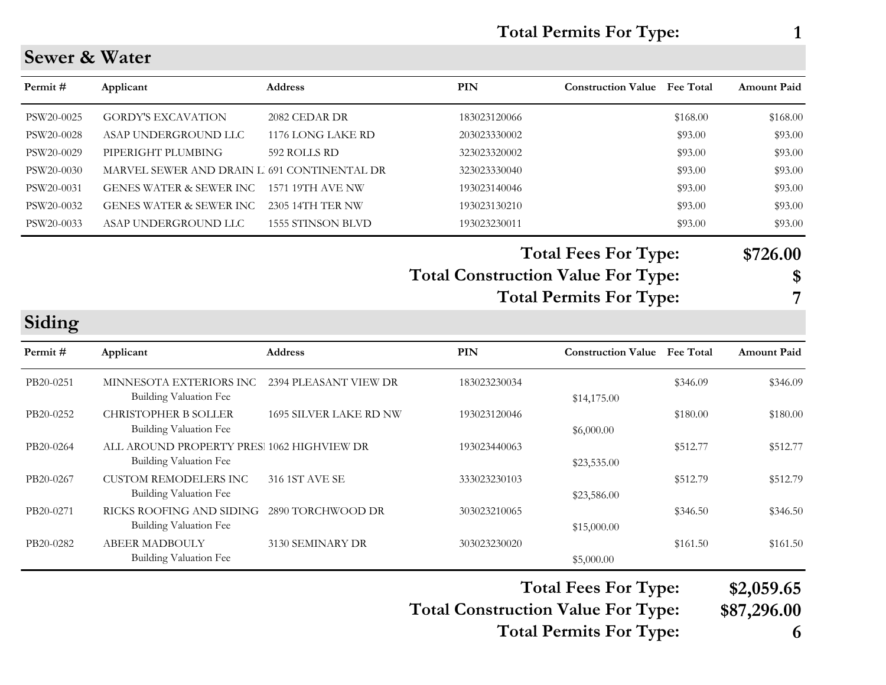| <b>Total Permits For Type:</b> |  |
|--------------------------------|--|
|--------------------------------|--|

#### **Sewer & Water**

| Permit #   | Applicant                                   | <b>Address</b>    | <b>PIN</b>   | <b>Construction Value</b> | <b>Fee Total</b> | <b>Amount Paid</b> |
|------------|---------------------------------------------|-------------------|--------------|---------------------------|------------------|--------------------|
| PSW20-0025 | <b>GORDY'S EXCAVATION</b>                   | 2082 CEDAR DR     | 183023120066 |                           | \$168.00         | \$168.00           |
| PSW20-0028 | ASAP UNDERGROUND LLC                        | 1176 LONG LAKE RD | 203023330002 |                           | \$93.00          | \$93.00            |
| PSW20-0029 | PIPERIGHT PLUMBING                          | 592 ROLLS RD      | 323023320002 |                           | \$93.00          | \$93.00            |
| PSW20-0030 | MARVEL SEWER AND DRAIN L 691 CONTINENTAL DR |                   | 323023330040 |                           | \$93.00          | \$93.00            |
| PSW20-0031 | <b>GENES WATER &amp; SEWER INC.</b>         | 1571 19TH AVE NW  | 193023140046 |                           | \$93.00          | \$93.00            |
| PSW20-0032 | <b>GENES WATER &amp; SEWER INC</b>          | 2305 14TH TER NW  | 193023130210 |                           | \$93.00          | \$93.00            |
| PSW20-0033 | ASAP UNDERGROUND LLC                        | 1555 STINSON BLVD | 193023230011 |                           | \$93.00          | \$93.00            |

# **Total Fees For Type: \$726.00**

#### **Total Construction Value For Type: \$ Total Permits For Type: 7**

#### **Siding**

| Permit#   | Applicant                                                                   | <b>Address</b>                | PIN          | <b>Construction Value</b> | <b>Fee Total</b> | <b>Amount Paid</b> |
|-----------|-----------------------------------------------------------------------------|-------------------------------|--------------|---------------------------|------------------|--------------------|
| PB20-0251 | MINNESOTA EXTERIORS INC<br>Building Valuation Fee                           | 2394 PLEASANT VIEW DR         | 183023230034 | \$14,175.00               | \$346.09         | \$346.09           |
| PB20-0252 | <b>CHRISTOPHER B SOLLER</b><br><b>Building Valuation Fee</b>                | <b>1695 SILVER LAKE RD NW</b> | 193023120046 | \$6,000.00                | \$180.00         | \$180.00           |
| PB20-0264 | ALL AROUND PROPERTY PRES: 1062 HIGHVIEW DR<br><b>Building Valuation Fee</b> |                               | 193023440063 | \$23,535.00               | \$512.77         | \$512.77           |
| PB20-0267 | <b>CUSTOM REMODELERS INC</b><br><b>Building Valuation Fee</b>               | 316 1ST AVE SE                | 333023230103 | \$23,586.00               | \$512.79         | \$512.79           |
| PB20-0271 | RICKS ROOFING AND SIDING<br><b>Building Valuation Fee</b>                   | 2890 TORCHWOOD DR             | 303023210065 | \$15,000.00               | \$346.50         | \$346.50           |
| PB20-0282 | <b>ABEER MADBOULY</b><br>Building Valuation Fee                             | 3130 SEMINARY DR              | 303023230020 | \$5,000.00                | \$161.50         | \$161.50           |

#### **Total Fees For Type: \$2,059.65**

**Total Construction Value For Type: \$87,296.00**

**Total Permits For Type: 6**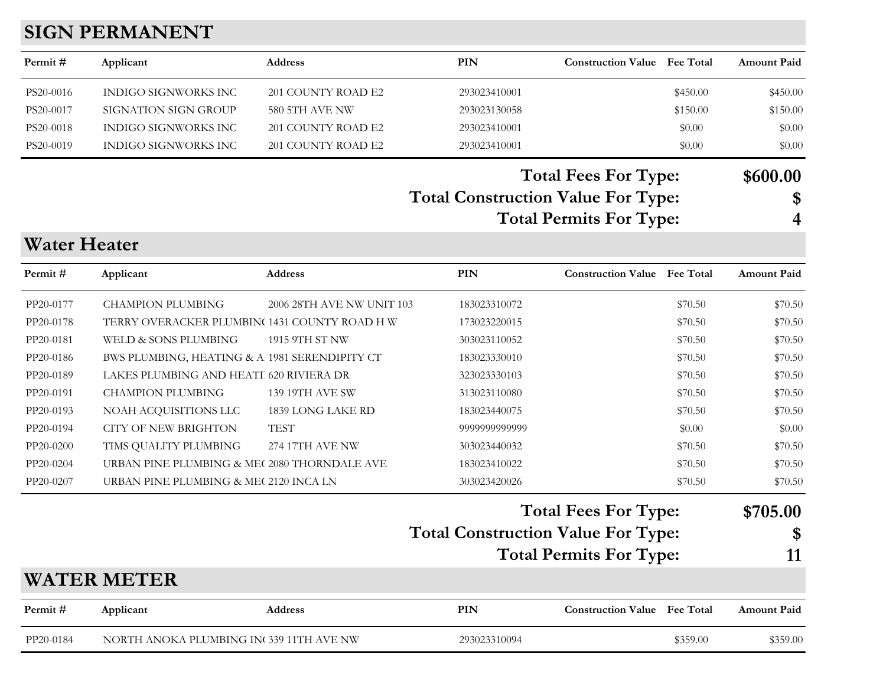# **SIGN PERMANENT**

| Permit#             | Applicant                                     | Address                   | <b>PIN</b>                                | <b>Construction Value Fee Total</b> |          | <b>Amount Paid</b> |
|---------------------|-----------------------------------------------|---------------------------|-------------------------------------------|-------------------------------------|----------|--------------------|
| PS20-0016           | <b>INDIGO SIGNWORKS INC</b>                   | 201 COUNTY ROAD E2        | 293023410001                              |                                     | \$450.00 | \$450.00           |
| PS20-0017           | <b>SIGNATION SIGN GROUP</b>                   | <b>580 5TH AVE NW</b>     | 293023130058                              |                                     | \$150.00 | \$150.00           |
| PS20-0018           | INDIGO SIGNWORKS INC                          | 201 COUNTY ROAD E2        | 293023410001                              |                                     | \$0.00   | \$0.00             |
| PS20-0019           | INDIGO SIGNWORKS INC                          | 201 COUNTY ROAD E2        | 293023410001                              |                                     | \$0.00   | \$0.00             |
|                     |                                               |                           |                                           | <b>Total Fees For Type:</b>         |          | \$600.00           |
|                     |                                               |                           | <b>Total Construction Value For Type:</b> |                                     |          | \$                 |
|                     |                                               |                           |                                           | <b>Total Permits For Type:</b>      |          | 4                  |
| <b>Water Heater</b> |                                               |                           |                                           |                                     |          |                    |
| Permit#             | Applicant                                     | Address                   | <b>PIN</b>                                | <b>Construction Value</b> Fee Total |          | <b>Amount Paid</b> |
| PP20-0177           | <b>CHAMPION PLUMBING</b>                      | 2006 28TH AVE NW UNIT 103 | 183023310072                              |                                     | \$70.50  | \$70.50            |
| PP20-0178           | TERRY OVERACKER PLUMBIN(1431 COUNTY ROAD H W  |                           | 173023220015                              |                                     | \$70.50  | \$70.50            |
| PP20-0181           | WELD & SONS PLUMBING                          | 1915 9TH ST NW            | 303023110052                              |                                     | \$70.50  | \$70.50            |
| PP20-0186           | BWS PLUMBING, HEATING & A 1981 SERENDIPITY CT |                           | 183023330010                              |                                     | \$70.50  | \$70.50            |
| PP20-0189           | LAKES PLUMBING AND HEATI 620 RIVIERA DR       |                           | 323023330103                              |                                     | \$70.50  | \$70.50            |
| PP20-0191           | <b>CHAMPION PLUMBING</b>                      | 139 19TH AVE SW           | 313023110080                              |                                     | \$70.50  | \$70.50            |
| PP20-0193           | NOAH ACQUISITIONS LLC                         | 1839 LONG LAKE RD         | 183023440075                              |                                     | \$70.50  | \$70.50            |
| PP20-0194           | <b>CITY OF NEW BRIGHTON</b>                   | <b>TEST</b>               | 9999999999999                             |                                     | \$0.00   | \$0.00             |
| PP20-0200           | TIMS QUALITY PLUMBING                         | 274 17TH AVE NW           | 303023440032                              |                                     | \$70.50  | \$70.50            |
| PP20-0204           | URBAN PINE PLUMBING & ME( 2080 THORNDALE AVE  |                           | 183023410022                              |                                     | \$70.50  | \$70.50            |
| PP20-0207           | URBAN PINE PLUMBING & ME( 2120 INCA LN        |                           | 303023420026                              |                                     | \$70.50  | \$70.50            |
|                     |                                               |                           |                                           | <b>Total Fees For Type:</b>         |          | \$705.00           |
|                     |                                               |                           | <b>Total Construction Value For Type:</b> |                                     |          | \$                 |
|                     |                                               |                           |                                           | <b>Total Permits For Type:</b>      |          | 11                 |
|                     | <b>WATER METER</b>                            |                           |                                           |                                     |          |                    |
| Permit#             | Applicant                                     | Address                   | <b>PIN</b>                                | <b>Construction Value</b> Fee Total |          | <b>Amount Paid</b> |
| PP20-0184           | NORTH ANOKA PLUMBING IN 339 11TH AVE NW       |                           | 293023310094                              |                                     | \$359.00 | \$359.00           |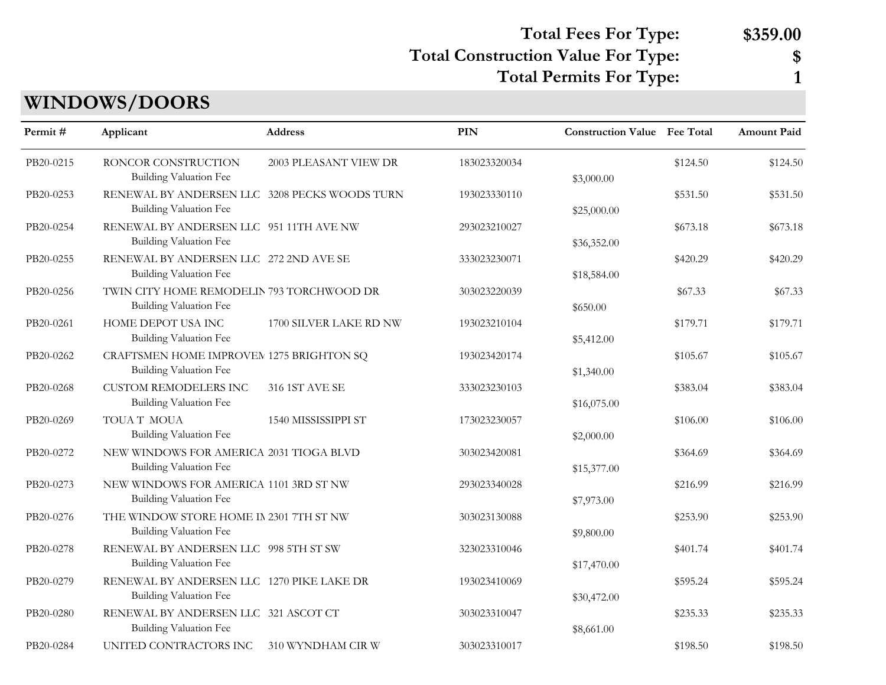## **Total Fees For Type: \$359.00**

#### **Total Construction Value For Type: \$**

**Total Permits For Type: 1**

# **WINDOWS/DOORS**

| Permit#   | Applicant                                                                 | Address                | <b>PIN</b>   | <b>Construction Value</b> Fee Total |          | Amount Paid |
|-----------|---------------------------------------------------------------------------|------------------------|--------------|-------------------------------------|----------|-------------|
| PB20-0215 | RONCOR CONSTRUCTION<br>Building Valuation Fee                             | 2003 PLEASANT VIEW DR  | 183023320034 | \$3,000.00                          | \$124.50 | \$124.50    |
| PB20-0253 | RENEWAL BY ANDERSEN LLC 3208 PECKS WOODS TURN<br>Building Valuation Fee   |                        | 193023330110 | \$25,000.00                         | \$531.50 | \$531.50    |
| PB20-0254 | RENEWAL BY ANDERSEN LLC 951 11TH AVE NW<br>Building Valuation Fee         |                        | 293023210027 | \$36,352.00                         | \$673.18 | \$673.18    |
| PB20-0255 | RENEWAL BY ANDERSEN LLC 272 2ND AVE SE<br>Building Valuation Fee          |                        | 333023230071 | \$18,584.00                         | \$420.29 | \$420.29    |
| PB20-0256 | TWIN CITY HOME REMODELIN 793 TORCHWOOD DR<br>Building Valuation Fee       |                        | 303023220039 | \$650.00                            | \$67.33  | \$67.33     |
| PB20-0261 | HOME DEPOT USA INC<br>Building Valuation Fee                              | 1700 SILVER LAKE RD NW | 193023210104 | \$5,412.00                          | \$179.71 | \$179.71    |
| PB20-0262 | CRAFTSMEN HOME IMPROVEN 1275 BRIGHTON SQ<br><b>Building Valuation Fee</b> |                        | 193023420174 | \$1,340.00                          | \$105.67 | \$105.67    |
| PB20-0268 | <b>CUSTOM REMODELERS INC</b><br><b>Building Valuation Fee</b>             | 316 1ST AVE SE         | 333023230103 | \$16,075.00                         | \$383.04 | \$383.04    |
| PB20-0269 | TOUAT MOUA<br>Building Valuation Fee                                      | 1540 MISSISSIPPI ST    | 173023230057 | \$2,000.00                          | \$106.00 | \$106.00    |
| PB20-0272 | NEW WINDOWS FOR AMERICA 2031 TIOGA BLVD<br>Building Valuation Fee         |                        | 303023420081 | \$15,377.00                         | \$364.69 | \$364.69    |
| PB20-0273 | NEW WINDOWS FOR AMERICA 1101 3RD ST NW<br><b>Building Valuation Fee</b>   |                        | 293023340028 | \$7,973.00                          | \$216.99 | \$216.99    |
| PB20-0276 | THE WINDOW STORE HOME IN 2301 7TH ST NW<br>Building Valuation Fee         |                        | 303023130088 | \$9,800.00                          | \$253.90 | \$253.90    |
| PB20-0278 | RENEWAL BY ANDERSEN LLC 998 5TH ST SW<br>Building Valuation Fee           |                        | 323023310046 | \$17,470.00                         | \$401.74 | \$401.74    |
| PB20-0279 | RENEWAL BY ANDERSEN LLC 1270 PIKE LAKE DR<br>Building Valuation Fee       |                        | 193023410069 | \$30,472.00                         | \$595.24 | \$595.24    |
| PB20-0280 | RENEWAL BY ANDERSEN LLC 321 ASCOT CT<br>Building Valuation Fee            |                        | 303023310047 | \$8,661.00                          | \$235.33 | \$235.33    |
| PB20-0284 | UNITED CONTRACTORS INC                                                    | 310 WYNDHAM CIR W      | 303023310017 |                                     | \$198.50 | \$198.50    |